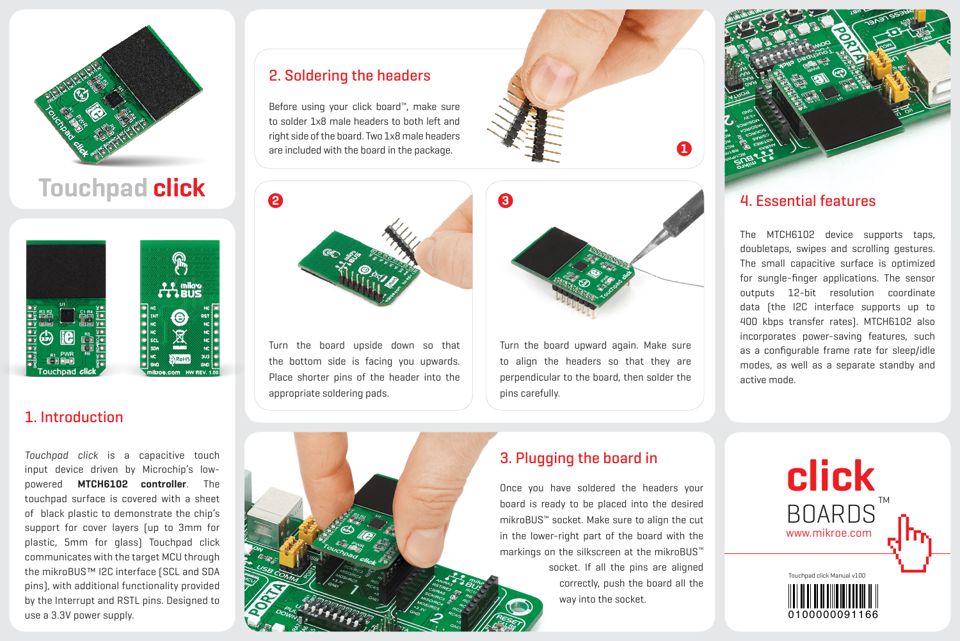

# **Touchpad click**



# 1. Introduction

*Touchpad click* is a capacitive touch input device driven by Microchip's lowpowered **MTCH6102 controller**. The touchpad surface is covered with a sheet of black plastic to demonstrate the chip's support for cover layers (up to 3mm for plastic, 5mm for glass) Touchpad click communicates with the target MCU through the mikroBUS™ I2C interface (SCL and SDA pins), with additional functionality provided by the Interrupt and RSTL pins. Designed to use a 3.3V power supply.

### 2. Soldering the headers

Before using your click board™, make sure to solder 1x8 male headers to both left and right side of the board. Two 1x8 male headers are included with the board in the package.

Turn the board upside down so that the bottom side is facing you upwards. Place shorter pins of the header into the

appropriate soldering pads.





Turn the board upward again. Make sure to align the headers so that they are perpendicular to the board, then solder the pins carefully.



## 4. Essential features

The MTCH6102 device supports taps, doubletaps, swipes and scrolling gestures. The small capacitive surface is optimized for sungle-finger applications. The sensor outputs 12-bit resolution coordinate data (the I2C interface supports up to 400 kbps transfer rates). MTCH6102 also incorporates power-saving features, such as a configurable frame rate for sleep/idle modes, as well as a separate standby and active mode.



# 3. Plugging the board in

Once you have soldered the headers your board is ready to be placed into the desired mikroBUS™ socket. Make sure to align the cut in the lower-right part of the board with the markings on the silkscreen at the mikroBUS™ socket. If all the pins are aligned correctly, push the board all the way into the socket.